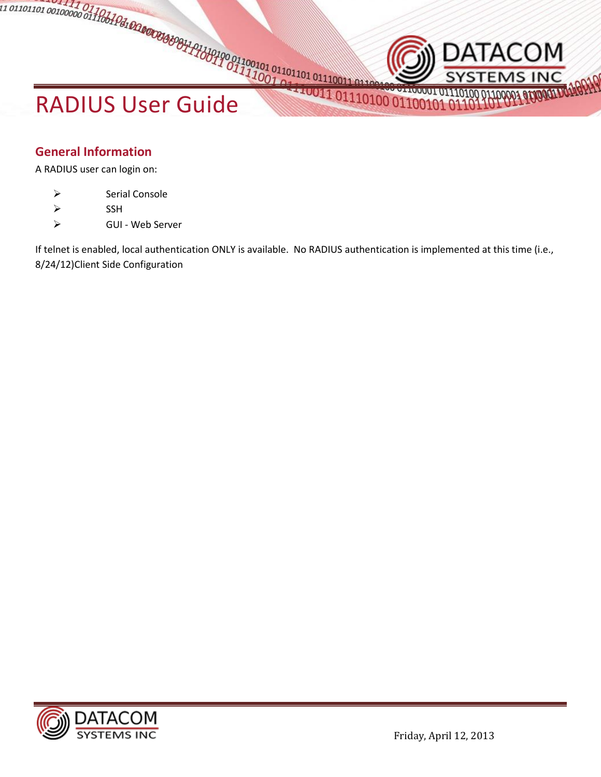# RADIUS User Guide

# **General Information**

A RADIUS user can login on:

- > Serial Console
- $\triangleright$  SSH
- GUI Web Server

If telnet is enabled, local authentication ONLY is available. No RADIUS authentication is implemented at this time (i.e., 8/24/12)Client Side Configuration



DATACOM

MS INC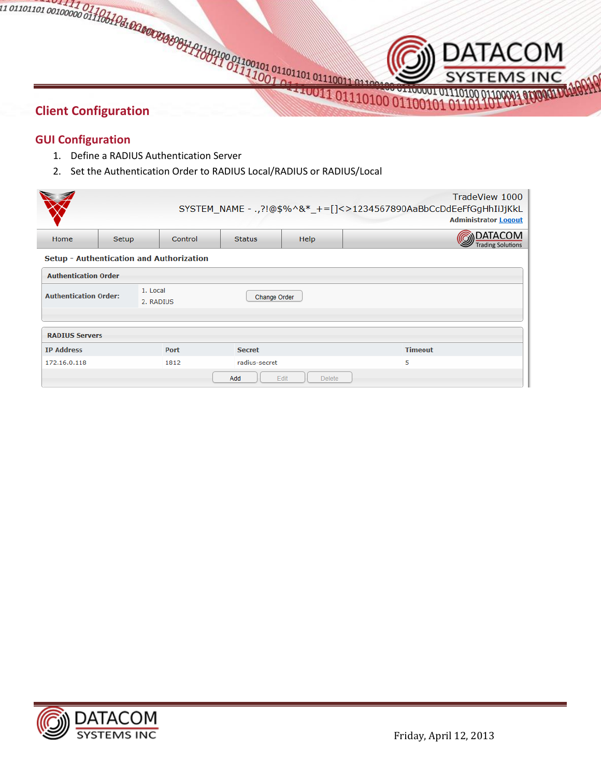# **Client Configuration**

### **GUI Configuration**

- 1. Define a RADIUS Authentication Server
- 2. Set the Authentication Order to RADIUS Local/RADIUS or RADIUS/Local

| TradeView 1000<br>SYSTEM_NAME - ., ?!@\$%^&*_+=[]<>1234567890AaBbCcDdEeFfGgHhIiJjKkL<br><b>Administrator Logout</b> |       |                       |                     |                       |                                            |  |  |
|---------------------------------------------------------------------------------------------------------------------|-------|-----------------------|---------------------|-----------------------|--------------------------------------------|--|--|
| Home                                                                                                                | Setup | Control               | <b>Status</b>       | <b>Help</b>           | <b>DATACOM</b><br><b>Trading Solutions</b> |  |  |
| Setup - Authentication and Authorization                                                                            |       |                       |                     |                       |                                            |  |  |
| <b>Authentication Order</b>                                                                                         |       |                       |                     |                       |                                            |  |  |
| <b>Authentication Order:</b>                                                                                        |       | 1. Local<br>2. RADIUS | <b>Change Order</b> |                       |                                            |  |  |
|                                                                                                                     |       |                       |                     |                       |                                            |  |  |
| <b>RADIUS Servers</b>                                                                                               |       |                       |                     |                       |                                            |  |  |
| <b>IP Address</b>                                                                                                   |       | Port                  | <b>Secret</b>       |                       | <b>Timeout</b>                             |  |  |
| 172.16.0.118                                                                                                        |       | 1812                  | radius-secret       |                       | 5                                          |  |  |
|                                                                                                                     |       |                       | Add                 | Edit<br><b>Delete</b> |                                            |  |  |



**DATACOM** 

**STEMS INC**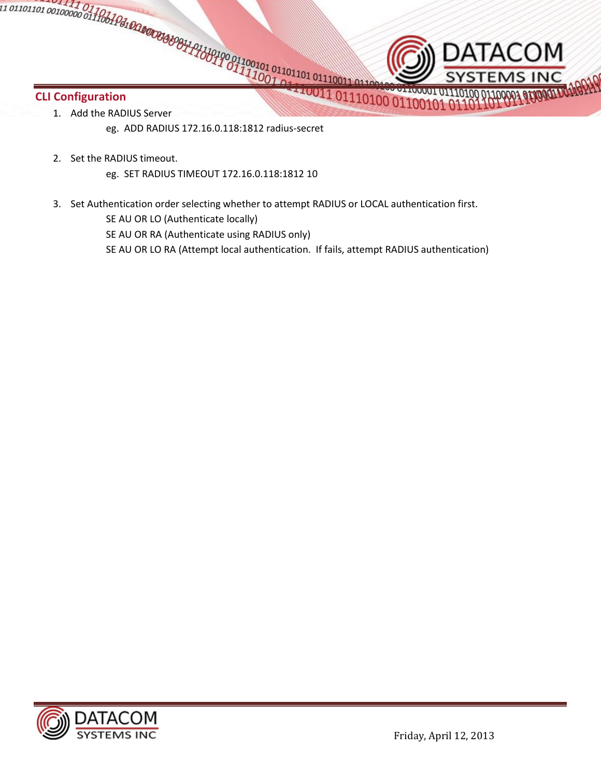# **CLI Configuration**

- 1. Add the RADIUS Server
	- eg. ADD RADIUS 172.16.0.118:1812 radius-secret
- 2. Set the RADIUS timeout.
	- eg. SET RADIUS TIMEOUT 172.16.0.118:1812 10
- 3. Set Authentication order selecting whether to attempt RADIUS or LOCAL authentication first.

SE AU OR LO (Authenticate locally)

SE AU OR RA (Authenticate using RADIUS only)

SE AU OR LO RA (Attempt local authentication. If fails, attempt RADIUS authentication)



DATACOM

O 011100001 01110100